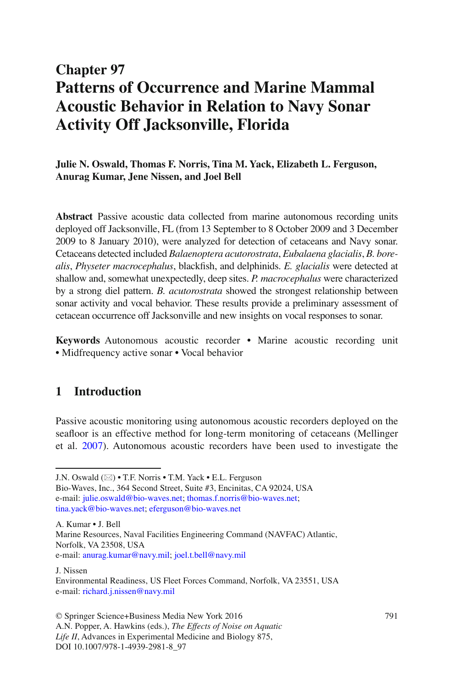# **Chapter 97 Patterns of Occurrence and Marine Mammal Acoustic Behavior in Relation to Navy Sonar Activity Off Jacksonville, Florida**

 **Julie N. Oswald, Thomas F. Norris, Tina M. Yack, Elizabeth L. Ferguson, Anurag Kumar , Jene Nissen , and Joel Bell** 

 **Abstract** Passive acoustic data collected from marine autonomous recording units deployed off Jacksonville, FL (from 13 September to 8 October 2009 and 3 December 2009 to 8 January 2010), were analyzed for detection of cetaceans and Navy sonar. Cetaceans detected included *Balaenoptera acutorostrata* , *Eubalaena glacialis* , *B. borealis, Physeter macrocephalus, blackfish, and delphinids. E. glacialis* were detected at shallow and, somewhat unexpectedly, deep sites. *P. macrocephalus* were characterized by a strong diel pattern. *B. acutorostrata* showed the strongest relationship between sonar activity and vocal behavior. These results provide a preliminary assessment of cetacean occurrence off Jacksonville and new insights on vocal responses to sonar.

 **Keywords** Autonomous acoustic recorder • Marine acoustic recording unit • Midfrequency active sonar • Vocal behavior

# **1 Introduction**

 Passive acoustic monitoring using autonomous acoustic recorders deployed on the seafloor is an effective method for long-term monitoring of cetaceans (Mellinger et al. 2007). Autonomous acoustic recorders have been used to investigate the

J.N. Oswald ( $\boxtimes$ ) • T.F. Norris • T.M. Yack • E.L. Ferguson

Bio-Waves, Inc., 364 Second Street, Suite #3, Encinitas, CA 92024, USA e-mail: [julie.oswald@bio-waves.net;](mailto:julie.oswald@bio-waves.net) [thomas.f.norris@bio-waves.net;](mailto:thomas.f.norris@bio-waves.net) [tina.yack@bio-waves.net](mailto:tina.yack@bio-waves.net); [eferguson@bio-waves.net](mailto:eferguson@bio-waves.net)

 A. Kumar • J. Bell Marine Resources, Naval Facilities Engineering Command (NAVFAC) Atlantic , Norfolk, VA 23508, USA e-mail: [anurag.kumar@navy.mil](mailto:anurag.kumar@navy.mil); [joel.t.bell@navy.mil](mailto:joel.t.bell@navy.mil)

#### J. Nissen Environmental Readiness, US Fleet Forces Command, Norfolk, VA 23551, USA e-mail: [richard.j.nissen@navy.mil](mailto:richard.j.nissen@navy.mil)

© Springer Science+Business Media New York 2016 791 A.N. Popper, A. Hawkins (eds.), *The Effects of Noise on Aquatic Life II*, Advances in Experimental Medicine and Biology 875, DOI 10.1007/978-1-4939-2981-8\_97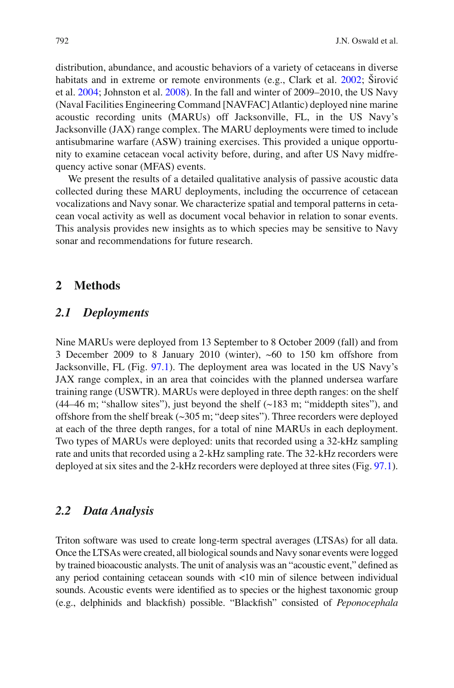distribution, abundance, and acoustic behaviors of a variety of cetaceans in diverse habitats and in extreme or remote environments (e.g., Clark et al. 2002; Širović et al. 2004; Johnston et al. 2008). In the fall and winter of 2009–2010, the US Navy (Naval Facilities Engineering Command [NAVFAC] Atlantic) deployed nine marine acoustic recording units (MARUs) off Jacksonville, FL, in the US Navy's Jacksonville (JAX) range complex. The MARU deployments were timed to include antisubmarine warfare (ASW) training exercises. This provided a unique opportunity to examine cetacean vocal activity before, during, and after US Navy midfrequency active sonar (MFAS) events.

 We present the results of a detailed qualitative analysis of passive acoustic data collected during these MARU deployments, including the occurrence of cetacean vocalizations and Navy sonar. We characterize spatial and temporal patterns in cetacean vocal activity as well as document vocal behavior in relation to sonar events. This analysis provides new insights as to which species may be sensitive to Navy sonar and recommendations for future research.

#### **2 Methods**

## *2.1 Deployments*

 Nine MARUs were deployed from 13 September to 8 October 2009 (fall) and from 3 December 2009 to 8 January 2010 (winter), ~60 to 150 km offshore from Jacksonville, FL (Fig. 97.1 ). The deployment area was located in the US Navy's JAX range complex, in an area that coincides with the planned undersea warfare training range (USWTR). MARUs were deployed in three depth ranges: on the shelf  $(44–46 \text{ m};$  "shallow sites"), just beyond the shelf  $(\sim 183 \text{ m};$  "middepth sites"), and offshore from the shelf break (~305 m; "deep sites"). Three recorders were deployed at each of the three depth ranges, for a total of nine MARUs in each deployment. Two types of MARUs were deployed: units that recorded using a 32-kHz sampling rate and units that recorded using a 2-kHz sampling rate. The 32-kHz recorders were deployed at six sites and the 2-kHz recorders were deployed at three sites (Fig. 97.1 ).

## *2.2 Data Analysis*

 Triton software was used to create long-term spectral averages (LTSAs) for all data. Once the LTSAs were created, all biological sounds and Navy sonar events were logged by trained bioacoustic analysts. The unit of analysis was an "acoustic event," defined as any period containing cetacean sounds with <10 min of silence between individual sounds. Acoustic events were identified as to species or the highest taxonomic group (e.g., delphinids and blackfish) possible. "Blackfish" consisted of *Peponocephala*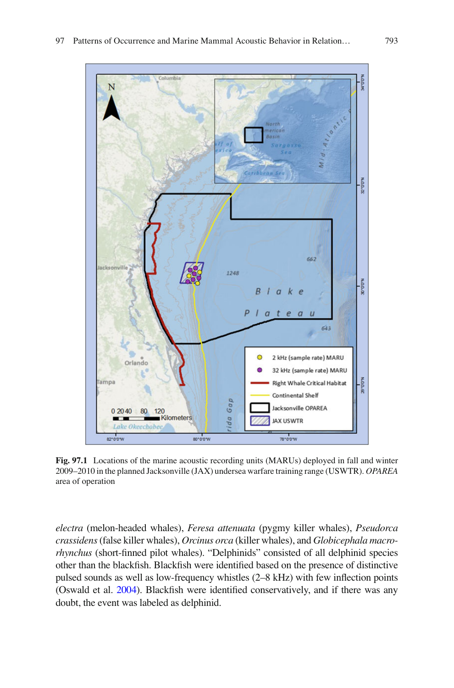

 **Fig. 97.1** Locations of the marine acoustic recording units (MARUs) deployed in fall and winter 2009–2010 in the planned Jacksonville (JAX) undersea warfare training range (USWTR). *OPAREA* area of operation

*electra* (melon-headed whales), *Feresa attenuata* (pygmy killer whales), *Pseudorca crassidens* (false killer whales), *Orcinus orca* (killer whales), and *Globicephala macrorhynchus* (short-finned pilot whales). "Delphinids" consisted of all delphinid species other than the blackfish. Blackfish were identified based on the presence of distinctive pulsed sounds as well as low-frequency whistles  $(2-8$  kHz) with few inflection points (Oswald et al.  $2004$ ). Blackfish were identified conservatively, and if there was any doubt, the event was labeled as delphinid.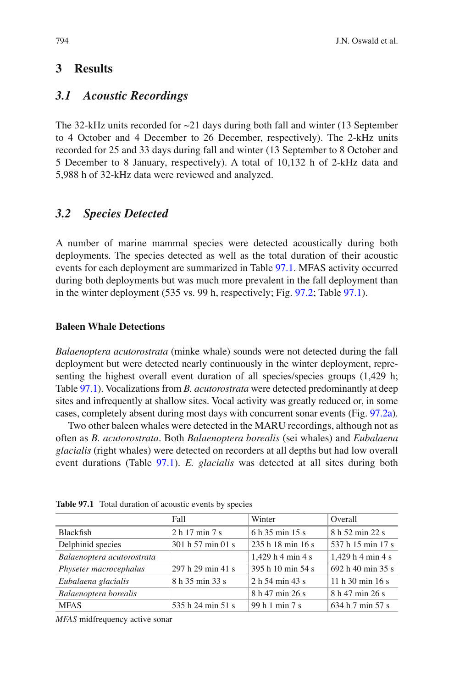## **3 Results**

#### *3.1 Acoustic Recordings*

The 32-kHz units recorded for  $\sim$ 21 days during both fall and winter (13 September to 4 October and 4 December to 26 December, respectively). The 2-kHz units recorded for 25 and 33 days during fall and winter (13 September to 8 October and 5 December to 8 January, respectively). A total of 10,132 h of 2-kHz data and 5,988 h of 32-kHz data were reviewed and analyzed.

## *3.2 Species Detected*

 A number of marine mammal species were detected acoustically during both deployments. The species detected as well as the total duration of their acoustic events for each deployment are summarized in Table 97.1 . MFAS activity occurred during both deployments but was much more prevalent in the fall deployment than in the winter deployment  $(535 \text{ vs. } 99 \text{ h}, \text{respectively; Fig. 97.2; Table 97.1}).$ 

#### **Baleen Whale Detections**

*Balaenoptera acutorostrata* (minke whale) sounds were not detected during the fall deployment but were detected nearly continuously in the winter deployment, representing the highest overall event duration of all species/species groups (1,429 h; Table 97.1 ). Vocalizations from *B. acutorostrata* were detected predominantly at deep sites and infrequently at shallow sites. Vocal activity was greatly reduced or, in some cases, completely absent during most days with concurrent sonar events (Fig. 97.2a ).

 Two other baleen whales were detected in the MARU recordings, although not as often as *B. acutorostrata* . Both *Balaenoptera borealis* (sei whales) and *Eubalaena glacialis* (right whales) were detected on recorders at all depths but had low overall event durations (Table 97.1). *E. glacialis* was detected at all sites during both

|                            | Fall              | Winter            | Overall                            |
|----------------------------|-------------------|-------------------|------------------------------------|
| <b>Blackfish</b>           | 2 h 17 min 7 s    | 6 h 35 min 15 s   | 8 h 52 min 22 s                    |
| Delphinid species          | 301 h 57 min 01 s | 235 h 18 min 16 s | 537 h 15 min 17 s                  |
| Balaenoptera acutorostrata |                   | 1.429h4 min 4 s   | 1,429 h 4 min 4 s                  |
| Physeter macrocephalus     | 297 h 29 min 41 s | 395 h 10 min 54 s | 692 h 40 min 35 s                  |
| Eubalaena glacialis        | 8 h 35 min 33 s   | 2 h 54 min 43 s   | 11 h $30 \text{ min} 16 \text{ s}$ |
| Balaenoptera borealis      |                   | 8 h 47 min 26 s   | 8 h 47 min 26 s                    |
| <b>MFAS</b>                | 535 h 24 min 51 s | 99 h 1 min 7 s    | 634 h 7 min 57 s                   |

 **Table 97.1** Total duration of acoustic events by species

*MFAS* midfrequency active sonar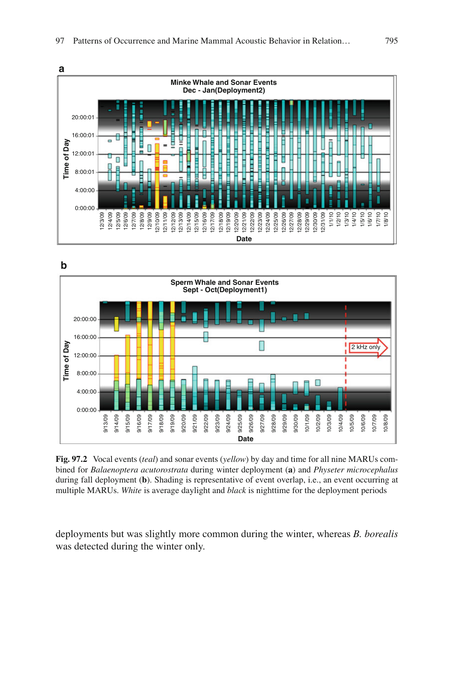

**b**



**Fig. 97.2** Vocal events (*teal*) and sonar events (*yellow*) by day and time for all nine MARUs combined for *Balaenoptera acutorostrata* during winter deployment ( **a** ) and *Physeter microcephalus* during fall deployment (**b**). Shading is representative of event overlap, i.e., an event occurring at multiple MARUs. *White* is average daylight and *black* is nighttime for the deployment periods

deployments but was slightly more common during the winter, whereas *B. borealis* was detected during the winter only.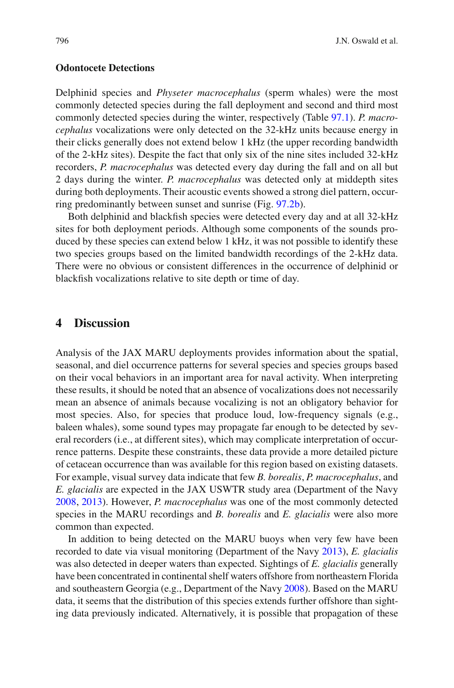#### **Odontocete Detections**

 Delphinid species and *Physeter macrocephalus* (sperm whales) were the most commonly detected species during the fall deployment and second and third most commonly detected species during the winter, respectively (Table 97.1 ). *P. macrocephalus* vocalizations were only detected on the 32-kHz units because energy in their clicks generally does not extend below 1 kHz (the upper recording bandwidth of the 2-kHz sites). Despite the fact that only six of the nine sites included 32-kHz recorders, *P. macrocephalus* was detected every day during the fall and on all but 2 days during the winter. *P. macrocephalus* was detected only at middepth sites during both deployments. Their acoustic events showed a strong diel pattern, occurring predominantly between sunset and sunrise (Fig. 97.2b).

Both delphinid and blackfish species were detected every day and at all 32-kHz sites for both deployment periods. Although some components of the sounds produced by these species can extend below 1 kHz, it was not possible to identify these two species groups based on the limited bandwidth recordings of the 2-kHz data. There were no obvious or consistent differences in the occurrence of delphinid or blackfish vocalizations relative to site depth or time of day.

#### **4 Discussion**

 Analysis of the JAX MARU deployments provides information about the spatial, seasonal, and diel occurrence patterns for several species and species groups based on their vocal behaviors in an important area for naval activity. When interpreting these results, it should be noted that an absence of vocalizations does not necessarily mean an absence of animals because vocalizing is not an obligatory behavior for most species. Also, for species that produce loud, low-frequency signals (e.g., baleen whales), some sound types may propagate far enough to be detected by several recorders (i.e., at different sites), which may complicate interpretation of occurrence patterns. Despite these constraints, these data provide a more detailed picture of cetacean occurrence than was available for this region based on existing datasets. For example, visual survey data indicate that few *B. borealis* , *P. macrocephalus* , and *E. glacialis* are expected in the JAX USWTR study area (Department of the Navy 2008 , 2013 ). However, *P. macrocephalus* was one of the most commonly detected species in the MARU recordings and *B. borealis* and *E. glacialis* were also more common than expected.

 In addition to being detected on the MARU buoys when very few have been recorded to date via visual monitoring (Department of the Navy 2013 ), *E. glacialis* was also detected in deeper waters than expected. Sightings of *E. glacialis* generally have been concentrated in continental shelf waters offshore from northeastern Florida and southeastern Georgia (e.g., Department of the Navy 2008 ). Based on the MARU data, it seems that the distribution of this species extends further offshore than sighting data previously indicated. Alternatively, it is possible that propagation of these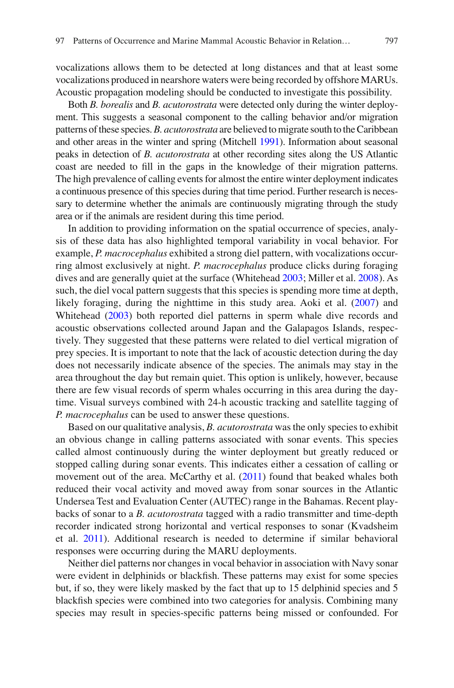vocalizations allows them to be detected at long distances and that at least some vocalizations produced in nearshore waters were being recorded by offshore MARUs. Acoustic propagation modeling should be conducted to investigate this possibility.

 Both *B. borealis* and *B. acutorostrata* were detected only during the winter deployment. This suggests a seasonal component to the calling behavior and/or migration patterns of these species. *B. acutorostrata* are believed to migrate south to the Caribbean and other areas in the winter and spring (Mitchell 1991 ). Information about seasonal peaks in detection of *B. acutorostrata* at other recording sites along the US Atlantic coast are needed to fill in the gaps in the knowledge of their migration patterns. The high prevalence of calling events for almost the entire winter deployment indicates a continuous presence of this species during that time period. Further research is necessary to determine whether the animals are continuously migrating through the study area or if the animals are resident during this time period.

 In addition to providing information on the spatial occurrence of species, analysis of these data has also highlighted temporal variability in vocal behavior. For example, *P. macrocephalus* exhibited a strong diel pattern, with vocalizations occurring almost exclusively at night. *P. macrocephalus* produce clicks during foraging dives and are generally quiet at the surface (Whitehead 2003; Miller et al. 2008). As such, the diel vocal pattern suggests that this species is spending more time at depth, likely foraging, during the nighttime in this study area. Aoki et al.  $(2007)$  and Whitehead (2003) both reported diel patterns in sperm whale dive records and acoustic observations collected around Japan and the Galapagos Islands, respectively. They suggested that these patterns were related to diel vertical migration of prey species. It is important to note that the lack of acoustic detection during the day does not necessarily indicate absence of the species. The animals may stay in the area throughout the day but remain quiet. This option is unlikely, however, because there are few visual records of sperm whales occurring in this area during the daytime. Visual surveys combined with 24-h acoustic tracking and satellite tagging of *P. macrocephalus* can be used to answer these questions.

 Based on our qualitative analysis, *B. acutorostrata* was the only species to exhibit an obvious change in calling patterns associated with sonar events. This species called almost continuously during the winter deployment but greatly reduced or stopped calling during sonar events. This indicates either a cessation of calling or movement out of the area. McCarthy et al. (2011) found that beaked whales both reduced their vocal activity and moved away from sonar sources in the Atlantic Undersea Test and Evaluation Center (AUTEC) range in the Bahamas. Recent playbacks of sonar to a *B. acutorostrata* tagged with a radio transmitter and time-depth recorder indicated strong horizontal and vertical responses to sonar (Kvadsheim et al. 2011). Additional research is needed to determine if similar behavioral responses were occurring during the MARU deployments.

 Neither diel patterns nor changes in vocal behavior in association with Navy sonar were evident in delphinids or blackfish. These patterns may exist for some species but, if so, they were likely masked by the fact that up to 15 delphinid species and 5 blackfish species were combined into two categories for analysis. Combining many species may result in species-specific patterns being missed or confounded. For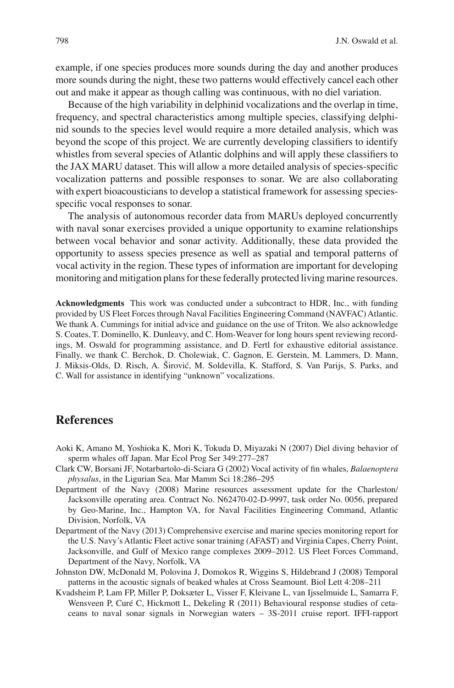example, if one species produces more sounds during the day and another produces more sounds during the night, these two patterns would effectively cancel each other out and make it appear as though calling was continuous, with no diel variation.

 Because of the high variability in delphinid vocalizations and the overlap in time, frequency, and spectral characteristics among multiple species, classifying delphinid sounds to the species level would require a more detailed analysis, which was beyond the scope of this project. We are currently developing classifiers to identify whistles from several species of Atlantic dolphins and will apply these classifiers to the JAX MARU dataset. This will allow a more detailed analysis of species-specific vocalization patterns and possible responses to sonar. We are also collaborating with expert bioacousticians to develop a statistical framework for assessing speciesspecific vocal responses to sonar.

 The analysis of autonomous recorder data from MARUs deployed concurrently with naval sonar exercises provided a unique opportunity to examine relationships between vocal behavior and sonar activity. Additionally, these data provided the opportunity to assess species presence as well as spatial and temporal patterns of vocal activity in the region. These types of information are important for developing monitoring and mitigation plans for these federally protected living marine resources.

 **Acknowledgments** This work was conducted under a subcontract to HDR, Inc., with funding provided by US Fleet Forces through Naval Facilities Engineering Command (NAVFAC) Atlantic. We thank A. Cummings for initial advice and guidance on the use of Triton. We also acknowledge S. Coates, T. Dominello, K. Dunleavy, and C. Hom-Weaver for long hours spent reviewing recordings, M. Oswald for programming assistance, and D. Fertl for exhaustive editorial assistance. Finally, we thank C. Berchok, D. Cholewiak, C. Gagnon, E. Gerstein, M. Lammers, D. Mann, J. Miksis-Olds, D. Risch, A. Širović, M. Soldevilla, K. Stafford, S. Van Parijs, S. Parks, and C. Wall for assistance in identifying "unknown" vocalizations.

## **References**

- Aoki K, Amano M, Yoshioka K, Mori K, Tokuda D, Miyazaki N (2007) Diel diving behavior of sperm whales off Japan. Mar Ecol Prog Ser 349:277–287
- Clark CW, Borsani JF, Notarbartolo-di-Sciara G (2002) Vocal activity of fin whales, *Balaenoptera physalus* , in the Ligurian Sea. Mar Mamm Sci 18:286–295
- Department of the Navy (2008) Marine resources assessment update for the Charleston/ Jacksonville operating area. Contract No. N62470-02-D-9997, task order No. 0056, prepared by Geo- Marine, Inc., Hampton VA, for Naval Facilities Engineering Command, Atlantic Division, Norfolk, VA
- Department of the Navy (2013) Comprehensive exercise and marine species monitoring report for the U.S. Navy's Atlantic Fleet active sonar training (AFAST) and Virginia Capes, Cherry Point, Jacksonville, and Gulf of Mexico range complexes 2009–2012. US Fleet Forces Command, Department of the Navy, Norfolk, VA
- Johnston DW, McDonald M, Polovina J, Domokos R, Wiggins S, Hildebrand J (2008) Temporal patterns in the acoustic signals of beaked whales at Cross Seamount. Biol Lett 4:208–211
- Kvadsheim P, Lam FP, Miller P, Doksæter L, Visser F, Kleivane L, van Ijsselmuide L, Samarra F, Wensveen P, Curé C, Hickmott L, Dekeling R (2011) Behavioural response studies of cetaceans to naval sonar signals in Norwegian waters – 3S-2011 cruise report. IFFI-rapport